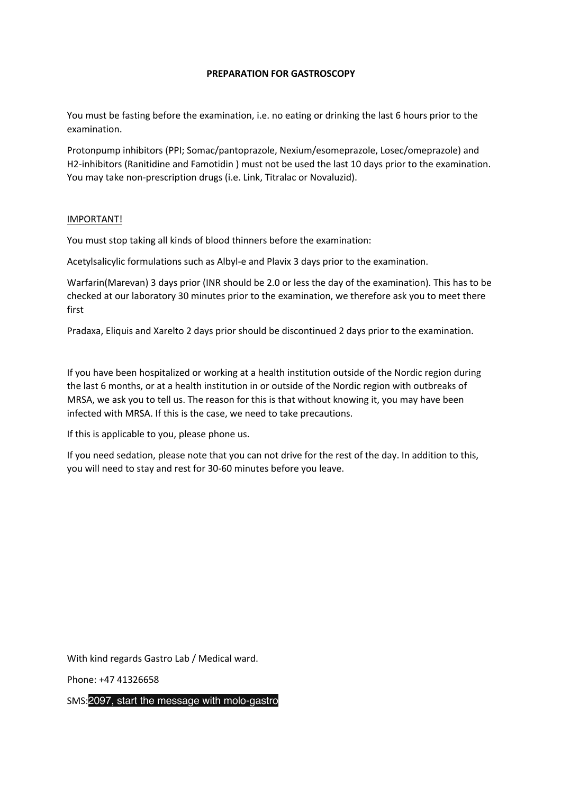## **PREPARATION FOR GASTROSCOPY**

You must be fasting before the examination, i.e. no eating or drinking the last 6 hours prior to the examination.

Protonpump inhibitors (PPI; Somac/pantoprazole, Nexium/esomeprazole, Losec/omeprazole) and H2-inhibitors (Ranitidine and Famotidin ) must not be used the last 10 days prior to the examination. You may take non-prescription drugs (i.e. Link, Titralac or Novaluzid).

## IMPORTANT!

You must stop taking all kinds of blood thinners before the examination:

Acetylsalicylic formulations such as Albyl-e and Plavix 3 days prior to the examination.

Warfarin(Marevan) 3 days prior (INR should be 2.0 or less the day of the examination). This has to be checked at our laboratory 30 minutes prior to the examination, we therefore ask you to meet there first

Pradaxa, Eliquis and Xarelto 2 days prior should be discontinued 2 days prior to the examination.

If you have been hospitalized or working at a health institution outside of the Nordic region during the last 6 months, or at a health institution in or outside of the Nordic region with outbreaks of MRSA, we ask you to tell us. The reason for this is that without knowing it, you may have been infected with MRSA. If this is the case, we need to take precautions.

If this is applicable to you, please phone us.

If you need sedation, please note that you can not drive for the rest of the day. In addition to this, you will need to stay and rest for 30-60 minutes before you leave.

With kind regards Gastro Lab / Medical ward.

Phone: +47 41326658

SMS:2097, start the message with molo-gastro